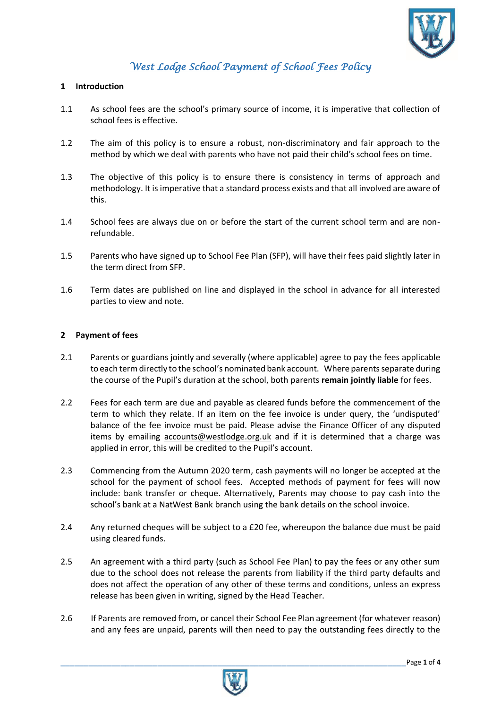

# *West Lodge School Payment of School Fees Policy*

#### **1 Introduction**

- 1.1 As school fees are the school's primary source of income, it is imperative that collection of school fees is effective.
- 1.2 The aim of this policy is to ensure a robust, non-discriminatory and fair approach to the method by which we deal with parents who have not paid their child's school fees on time.
- 1.3 The objective of this policy is to ensure there is consistency in terms of approach and methodology. It is imperative that a standard process exists and that all involved are aware of this.
- 1.4 School fees are always due on or before the start of the current school term and are nonrefundable.
- 1.5 Parents who have signed up to School Fee Plan (SFP), will have their fees paid slightly later in the term direct from SFP.
- 1.6 Term dates are published on line and displayed in the school in advance for all interested parties to view and note.

#### **2 Payment of fees**

- 2.1 Parents or guardians jointly and severally (where applicable) agree to pay the fees applicable to each term directly to the school's nominated bank account. Where parents separate during the course of the Pupil's duration at the school, both parents **remain jointly liable** for fees.
- 2.2 Fees for each term are due and payable as cleared funds before the commencement of the term to which they relate. If an item on the fee invoice is under query, the 'undisputed' balance of the fee invoice must be paid. Please advise the Finance Officer of any disputed items by emailing [accounts@westlodge.org.uk](mailto:accounts@westlodge.org.uk) and if it is determined that a charge was applied in error, this will be credited to the Pupil's account.
- 2.3 Commencing from the Autumn 2020 term, cash payments will no longer be accepted at the school for the payment of school fees. Accepted methods of payment for fees will now include: bank transfer or cheque. Alternatively, Parents may choose to pay cash into the school's bank at a NatWest Bank branch using the bank details on the school invoice.
- 2.4 Any returned cheques will be subject to a £20 fee, whereupon the balance due must be paid using cleared funds.
- 2.5 An agreement with a third party (such as School Fee Plan) to pay the fees or any other sum due to the school does not release the parents from liability if the third party defaults and does not affect the operation of any other of these terms and conditions, unless an express release has been given in writing, signed by the Head Teacher.
- 2.6 If Parents are removed from, or cancel their School Fee Plan agreement (for whatever reason) and any fees are unpaid, parents will then need to pay the outstanding fees directly to the

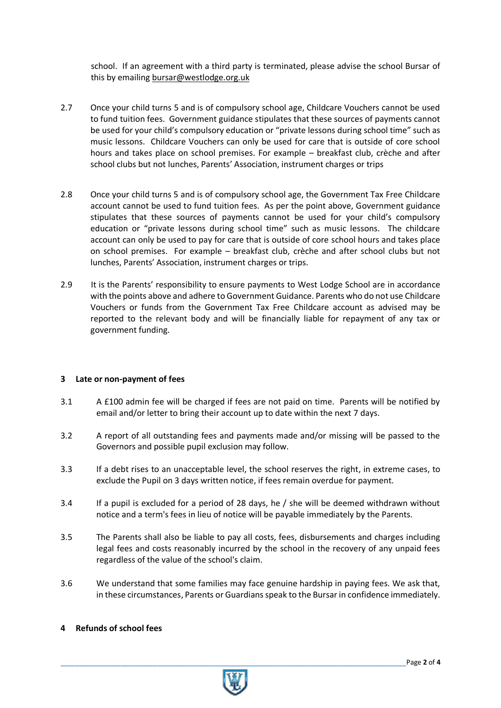school. If an agreement with a third party is terminated, please advise the school Bursar of this by emailin[g bursar@westlodge.org.uk](mailto:bursar@westlodge.org.uk)

- 2.7 Once your child turns 5 and is of compulsory school age, Childcare Vouchers cannot be used to fund tuition fees. Government guidance stipulates that these sources of payments cannot be used for your child's compulsory education or "private lessons during school time" such as music lessons. Childcare Vouchers can only be used for care that is outside of core school hours and takes place on school premises. For example – breakfast club, crèche and after school clubs but not lunches, Parents' Association, instrument charges or trips
- 2.8 Once your child turns 5 and is of compulsory school age, the Government Tax Free Childcare account cannot be used to fund tuition fees. As per the point above, Government guidance stipulates that these sources of payments cannot be used for your child's compulsory education or "private lessons during school time" such as music lessons. The childcare account can only be used to pay for care that is outside of core school hours and takes place on school premises. For example – breakfast club, crèche and after school clubs but not lunches, Parents' Association, instrument charges or trips.
- 2.9 It is the Parents' responsibility to ensure payments to West Lodge School are in accordance with the points above and adhere to Government Guidance. Parents who do not use Childcare Vouchers or funds from the Government Tax Free Childcare account as advised may be reported to the relevant body and will be financially liable for repayment of any tax or government funding.

# **3 Late or non-payment of fees**

- 3.1 A £100 admin fee will be charged if fees are not paid on time. Parents will be notified by email and/or letter to bring their account up to date within the next 7 days.
- 3.2 A report of all outstanding fees and payments made and/or missing will be passed to the Governors and possible pupil exclusion may follow.
- 3.3 If a debt rises to an unacceptable level, the school reserves the right, in extreme cases, to exclude the Pupil on 3 days written notice, if fees remain overdue for payment.
- 3.4 If a pupil is excluded for a period of 28 days, he / she will be deemed withdrawn without notice and a term's fees in lieu of notice will be payable immediately by the Parents.
- 3.5 The Parents shall also be liable to pay all costs, fees, disbursements and charges including legal fees and costs reasonably incurred by the school in the recovery of any unpaid fees regardless of the value of the school's claim.
- 3.6 We understand that some families may face genuine hardship in paying fees. We ask that, in these circumstances, Parents or Guardians speak to the Bursar in confidence immediately.

# **4 Refunds of school fees**

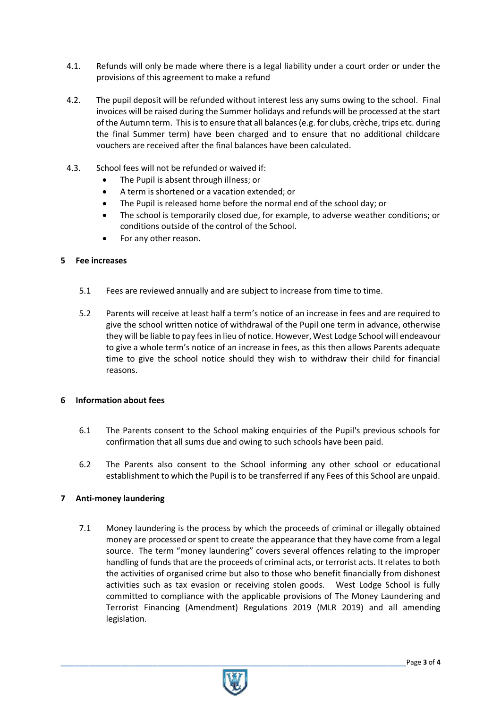- 4.1. Refunds will only be made where there is a legal liability under a court order or under the provisions of this agreement to make a refund
- 4.2. The pupil deposit will be refunded without interest less any sums owing to the school. Final invoices will be raised during the Summer holidays and refunds will be processed at the start of the Autumn term. This is to ensure that all balances (e.g. for clubs, crèche, trips etc. during the final Summer term) have been charged and to ensure that no additional childcare vouchers are received after the final balances have been calculated.
- 4.3. School fees will not be refunded or waived if:
	- The Pupil is absent through illness; or
	- A term is shortened or a vacation extended; or
	- The Pupil is released home before the normal end of the school day; or
	- The school is temporarily closed due, for example, to adverse weather conditions; or conditions outside of the control of the School.
	- For any other reason.

#### **5 Fee increases**

- 5.1 Fees are reviewed annually and are subject to increase from time to time.
- 5.2 Parents will receive at least half a term's notice of an increase in fees and are required to give the school written notice of withdrawal of the Pupil one term in advance, otherwise they will be liable to pay fees in lieu of notice. However, West Lodge School will endeavour to give a whole term's notice of an increase in fees, as this then allows Parents adequate time to give the school notice should they wish to withdraw their child for financial reasons.

#### **6 Information about fees**

- 6.1 The Parents consent to the School making enquiries of the Pupil's previous schools for confirmation that all sums due and owing to such schools have been paid.
- 6.2 The Parents also consent to the School informing any other school or educational establishment to which the Pupil is to be transferred if any Fees of this School are unpaid.

# **7 Anti-money laundering**

7.1 Money laundering is the process by which the proceeds of criminal or illegally obtained money are processed or spent to create the appearance that they have come from a legal source. The term "money laundering" covers several offences relating to the improper handling of funds that are the proceeds of criminal acts, or terrorist acts. It relates to both the activities of organised crime but also to those who benefit financially from dishonest activities such as tax evasion or receiving stolen goods. West Lodge School is fully committed to compliance with the applicable provisions of The Money Laundering and Terrorist Financing (Amendment) Regulations 2019 (MLR 2019) and all amending legislation.